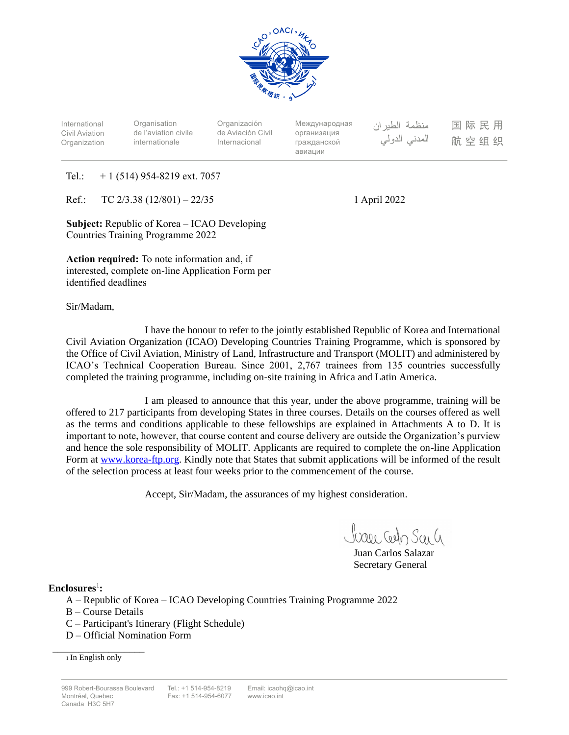

| International<br>Civil Aviation<br>Organization | Organisation<br>de l'aviation civile<br>internationale | Organización<br>de Aviación Civil<br>Internacional | Международная<br>организация<br>гражданской<br>авиации | منظمة الطبر ان<br>المدنى الدولى | 国际民用<br>航空组织 |
|-------------------------------------------------|--------------------------------------------------------|----------------------------------------------------|--------------------------------------------------------|---------------------------------|--------------|
|                                                 |                                                        |                                                    |                                                        |                                 |              |

Tel.:  $+1$  (514) 954-8219 ext. 7057

Ref.: TC 2/3.38 (12/801) – 22/35 1 April 2022

**Subject:** Republic of Korea – ICAO Developing Countries Training Programme 2022

**Action required:** To note information and, if interested, complete on-line Application Form per identified deadlines

Sir/Madam,

I have the honour to refer to the jointly established Republic of Korea and International Civil Aviation Organization (ICAO) Developing Countries Training Programme, which is sponsored by the Office of Civil Aviation, Ministry of Land, Infrastructure and Transport (MOLIT) and administered by ICAO's Technical Cooperation Bureau. Since 2001, 2,767 trainees from 135 countries successfully completed the training programme, including on-site training in Africa and Latin America.

I am pleased to announce that this year, under the above programme, training will be offered to 217 participants from developing States in three courses. Details on the courses offered as well as the terms and conditions applicable to these fellowships are explained in Attachments A to D. It is important to note, however, that course content and course delivery are outside the Organization's purview and hence the sole responsibility of MOLIT. Applicants are required to complete the on-line Application Form at www.korea-ftp.org. Kindly note that States that submit applications will be informed of the result of the selection process at least four weeks prior to the commencement of the course.

Accept, Sir/Madam, the assurances of my highest consideration.

Juare Cedo San G

Juan Carlos Salazar Secretary General

### $\mathbf{Enclosures}^{1}$ :

- A Republic of Korea ICAO Developing Countries Training Programme 2022
- B Course Details
- C Participant's Itinerary (Flight Schedule)
- D Official Nomination Form

1 In English only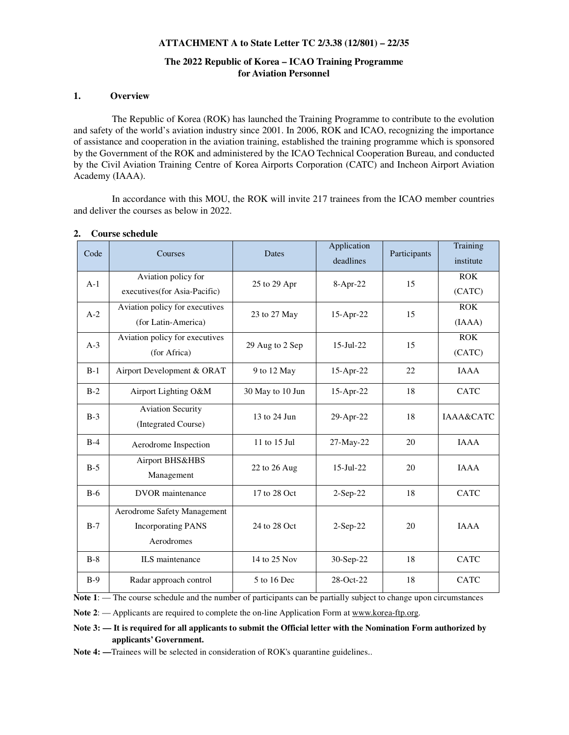#### **ATTACHMENT A to State Letter TC 2/3.38 (12/801) – 22/35**

#### **The 2022 Republic of Korea – ICAO Training Programme for Aviation Personnel**

#### **1. Overview**

The Republic of Korea (ROK) has launched the Training Programme to contribute to the evolution and safety of the world's aviation industry since 2001. In 2006, ROK and ICAO, recognizing the importance of assistance and cooperation in the aviation training, established the training programme which is sponsored by the Government of the ROK and administered by the ICAO Technical Cooperation Bureau, and conducted by the Civil Aviation Training Centre of Korea Airports Corporation (CATC) and Incheon Airport Aviation Academy (IAAA).

In accordance with this MOU, the ROK will invite 217 trainees from the ICAO member countries and deliver the courses as below in 2022.

| Code  | Courses                            | <b>Dates</b>     | Application  | Participants | Training             |
|-------|------------------------------------|------------------|--------------|--------------|----------------------|
|       |                                    |                  | deadlines    |              | institute            |
| $A-1$ | Aviation policy for                | 25 to 29 Apr     |              | 15           | <b>ROK</b>           |
|       | executives (for Asia-Pacific)      |                  | $8-Apr-22$   |              | (CATC)               |
| $A-2$ | Aviation policy for executives     | 23 to 27 May     | 15-Apr-22    | 15           | <b>ROK</b>           |
|       | (for Latin-America)                |                  |              |              | (IAAA)               |
| $A-3$ | Aviation policy for executives     | 29 Aug to 2 Sep  | $15$ -Jul-22 | 15           | <b>ROK</b>           |
|       | (for Africa)                       |                  |              |              | (CATC)               |
| $B-1$ | Airport Development & ORAT         | 9 to 12 May      | 15-Apr-22    | 22           | <b>IAAA</b>          |
| $B-2$ | Airport Lighting O&M               | 30 May to 10 Jun | 15-Apr-22    | 18           | <b>CATC</b>          |
| $B-3$ | <b>Aviation Security</b>           | 13 to 24 Jun     | 29-Apr-22    | 18           | <b>IAAA&amp;CATC</b> |
|       | (Integrated Course)                |                  |              |              |                      |
| $B-4$ | Aerodrome Inspection               | 11 to 15 Jul     | 27-May-22    | 20           | <b>IAAA</b>          |
| $B-5$ | <b>Airport BHS&amp;HBS</b>         | 22 to 26 Aug     | 15-Jul-22    | 20           | <b>IAAA</b>          |
|       | Management                         |                  |              |              |                      |
| $B-6$ | <b>DVOR</b> maintenance            | 17 to 28 Oct     | $2-Sep-22$   | 18           | <b>CATC</b>          |
|       | <b>Aerodrome Safety Management</b> |                  |              |              |                      |
| $B-7$ | <b>Incorporating PANS</b>          | 24 to 28 Oct     | $2-Sep-22$   | 20           | <b>IAAA</b>          |
|       | Aerodromes                         |                  |              |              |                      |
| $B-8$ | ILS maintenance                    | 14 to 25 Nov     | 30-Sep-22    | 18           | <b>CATC</b>          |
| $B-9$ | Radar approach control             | 5 to 16 Dec      | 28-Oct-22    | 18           | <b>CATC</b>          |

#### **2. Course schedule**

**Note 1**: — The course schedule and the number of participants can be partially subject to change upon circumstances

**Note 2**: — Applicants are required to complete the on-line Application Form at www.korea-ftp.org.

#### **Note 3: — It is required for all applicants to submit the Official letter with the Nomination Form authorized by applicants' Government.**

Note 4: - Trainees will be selected in consideration of ROK's quarantine guidelines..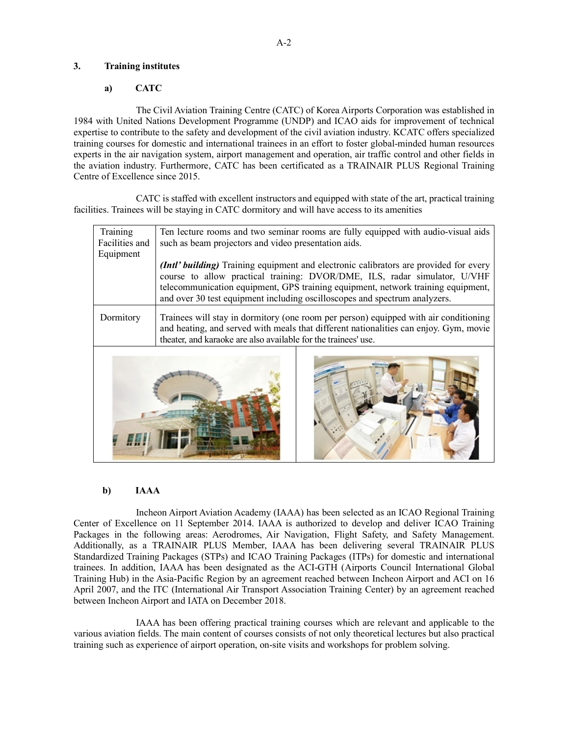### a) CATC

The Civil Aviation Training Centre (CATC) of Korea Airports Corporation was established in 1984 with United Nations Development Programme (UNDP) and ICAO aids for improvement of technical expertise to contribute to the safety and development of the civil aviation industry. KCATC offers specialized training courses for domestic and international trainees in an effort to foster global-minded human resources experts in the air navigation system, airport management and operation, air traffic control and other fields in the aviation industry. Furthermore, CATC has been certificated as a TRAINAIR PLUS Regional Training Centre of Excellence since 2015.

CATC is staffed with excellent instructors and equipped with state of the art, practical training facilities. Trainees will be staying in CATC dormitory and will have access to its amenities

| Training<br>Facilities and<br>Equipment | Ten lecture rooms and two seminar rooms are fully equipped with audio-visual aids<br>such as beam projectors and video presentation aids.                                                                                                                                                                                            |  |  |  |  |
|-----------------------------------------|--------------------------------------------------------------------------------------------------------------------------------------------------------------------------------------------------------------------------------------------------------------------------------------------------------------------------------------|--|--|--|--|
|                                         | (Intl' building) Training equipment and electronic calibrators are provided for every<br>course to allow practical training: DVOR/DME, ILS, radar simulator, U/VHF<br>telecommunication equipment, GPS training equipment, network training equipment,<br>and over 30 test equipment including oscilloscopes and spectrum analyzers. |  |  |  |  |
| Dormitory                               | Trainees will stay in dormitory (one room per person) equipped with air conditioning<br>and heating, and served with meals that different nationalities can enjoy. Gym, movie<br>theater, and karaoke are also available for the trainees' use.                                                                                      |  |  |  |  |
|                                         |                                                                                                                                                                                                                                                                                                                                      |  |  |  |  |

# b) IAAA

Incheon Airport Aviation Academy (IAAA) has been selected as an ICAO Regional Training Center of Excellence on 11 September 2014. IAAA is authorized to develop and deliver ICAO Training Packages in the following areas: Aerodromes, Air Navigation, Flight Safety, and Safety Management. Additionally, as a TRAINAIR PLUS Member, IAAA has been delivering several TRAINAIR PLUS Standardized Training Packages (STPs) and ICAO Training Packages (ITPs) for domestic and international trainees. In addition, IAAA has been designated as the ACI-GTH (Airports Council International Global Training Hub) in the Asia-Pacific Region by an agreement reached between Incheon Airport and ACI on 16 April 2007, and the ITC (International Air Transport Association Training Center) by an agreement reached between Incheon Airport and IATA on December 2018.

IAAA has been offering practical training courses which are relevant and applicable to the various aviation fields. The main content of courses consists of not only theoretical lectures but also practical training such as experience of airport operation, on-site visits and workshops for problem solving.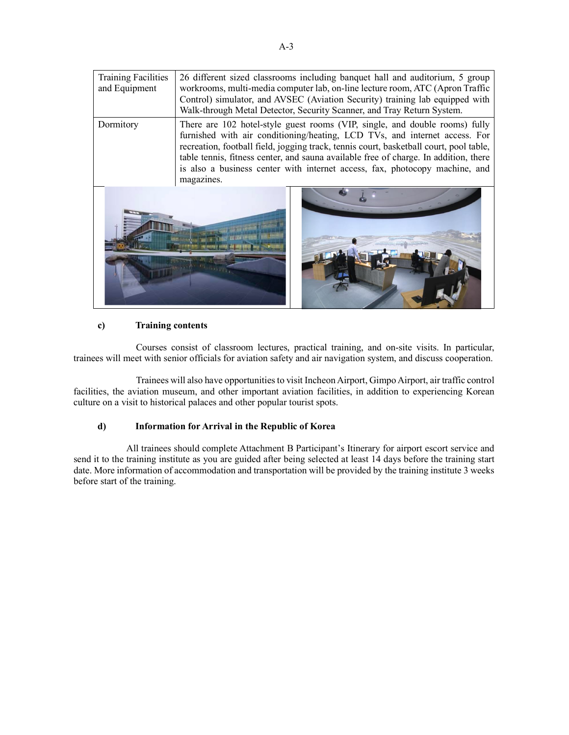| <b>Training Facilities</b><br>and Equipment | 26 different sized classrooms including banquet hall and auditorium, 5 group<br>workrooms, multi-media computer lab, on-line lecture room, ATC (Apron Traffic<br>Control) simulator, and AVSEC (Aviation Security) training lab equipped with<br>Walk-through Metal Detector, Security Scanner, and Tray Return System.                                                                                                                  |
|---------------------------------------------|------------------------------------------------------------------------------------------------------------------------------------------------------------------------------------------------------------------------------------------------------------------------------------------------------------------------------------------------------------------------------------------------------------------------------------------|
| Dormitory                                   | There are 102 hotel-style guest rooms (VIP, single, and double rooms) fully<br>furnished with air conditioning/heating, LCD TVs, and internet access. For<br>recreation, football field, jogging track, tennis court, basketball court, pool table,<br>table tennis, fitness center, and sauna available free of charge. In addition, there<br>is also a business center with internet access, fax, photocopy machine, and<br>magazines. |
|                                             |                                                                                                                                                                                                                                                                                                                                                                                                                                          |

#### c) Training contents

Courses consist of classroom lectures, practical training, and on-site visits. In particular, trainees will meet with senior officials for aviation safety and air navigation system, and discuss cooperation.

Trainees will also have opportunities to visit Incheon Airport, Gimpo Airport, air traffic control facilities, the aviation museum, and other important aviation facilities, in addition to experiencing Korean culture on a visit to historical palaces and other popular tourist spots.

#### d) Information for Arrival in the Republic of Korea

All trainees should complete Attachment B Participant's Itinerary for airport escort service and send it to the training institute as you are guided after being selected at least 14 days before the training start date. More information of accommodation and transportation will be provided by the training institute 3 weeks before start of the training.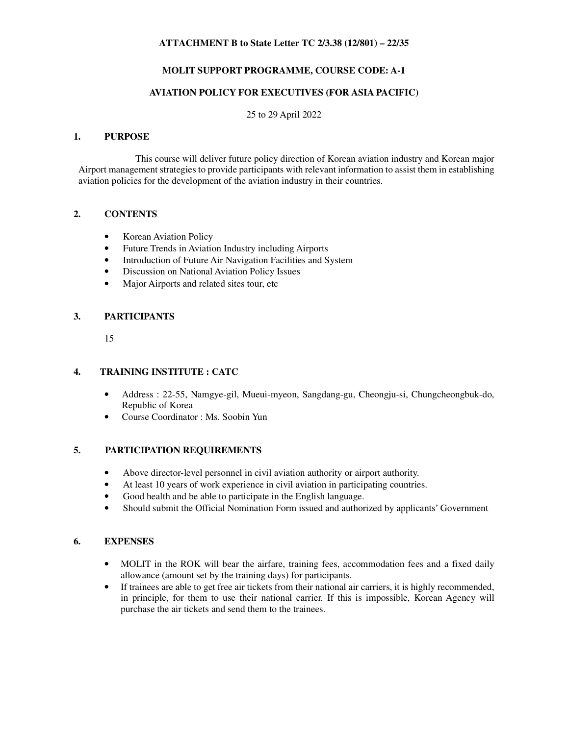#### **ATTACHMENT B to State Letter TC 2/3.38 (12/801) – 22/35**

#### **MOLIT SUPPORT PROGRAMME, COURSE CODE: A-1**

#### **AVIATION POLICY FOR EXECUTIVES (FOR ASIA PACIFIC)**

25 to 29 April 2022

#### **1. PURPOSE**

 This course will deliver future policy direction of Korean aviation industry and Korean major Airport management strategies to provide participants with relevant information to assist them in establishing aviation policies for the development of the aviation industry in their countries.

#### **2. CONTENTS**

- Korean Aviation Policy
- Future Trends in Aviation Industry including Airports
- Introduction of Future Air Navigation Facilities and System
- Discussion on National Aviation Policy Issues
- Major Airports and related sites tour, etc

#### **3. PARTICIPANTS**

15

#### **4. TRAINING INSTITUTE : CATC**

- Address : 22-55, Namgye-gil, Mueui-myeon, Sangdang-gu, Cheongju-si, Chungcheongbuk-do, Republic of Korea
- Course Coordinator : Ms. Soobin Yun

#### **5. PARTICIPATION REQUIREMENTS**

- Above director-level personnel in civil aviation authority or airport authority.
- At least 10 years of work experience in civil aviation in participating countries.
- Good health and be able to participate in the English language.
- Should submit the Official Nomination Form issued and authorized by applicants' Government

- MOLIT in the ROK will bear the airfare, training fees, accommodation fees and a fixed daily allowance (amount set by the training days) for participants.
- If trainees are able to get free air tickets from their national air carriers, it is highly recommended, in principle, for them to use their national carrier. If this is impossible, Korean Agency will purchase the air tickets and send them to the trainees.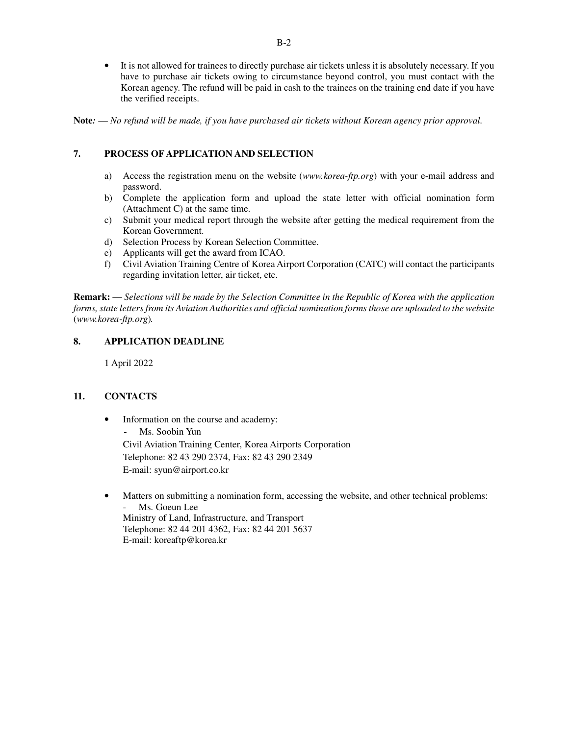• It is not allowed for trainees to directly purchase air tickets unless it is absolutely necessary. If you have to purchase air tickets owing to circumstance beyond control, you must contact with the Korean agency. The refund will be paid in cash to the trainees on the training end date if you have the verified receipts.

**Note***:* — *No refund will be made, if you have purchased air tickets without Korean agency prior approval.* 

#### **7. PROCESS OF APPLICATION AND SELECTION**

- a) Access the registration menu on the website (*www.korea-ftp.org*) with your e-mail address and password.
- b) Complete the application form and upload the state letter with official nomination form (Attachment C) at the same time.
- c) Submit your medical report through the website after getting the medical requirement from the Korean Government.
- d) Selection Process by Korean Selection Committee.
- e) Applicants will get the award from ICAO.
- f) Civil Aviation Training Centre of Korea Airport Corporation (CATC) will contact the participants regarding invitation letter, air ticket, etc.

**Remark:** — *Selections will be made by the Selection Committee in the Republic of Korea with the application forms, state letters from its Aviation Authorities and official nomination forms those are uploaded to the website*  (*www.korea-ftp.org*)*.* 

#### **8. APPLICATION DEADLINE**

1 April 2022

## **11. CONTACTS**

• Information on the course and academy:

Ms. Soobin Yun Civil Aviation Training Center, Korea Airports Corporation Telephone: 82 43 290 2374, Fax: 82 43 290 2349 E-mail: syun@airport.co.kr

• Matters on submitting a nomination form, accessing the website, and other technical problems: Ms. Goeun Lee Ministry of Land, Infrastructure, and Transport Telephone: 82 44 201 4362, Fax: 82 44 201 5637

E-mail: koreaftp@korea.kr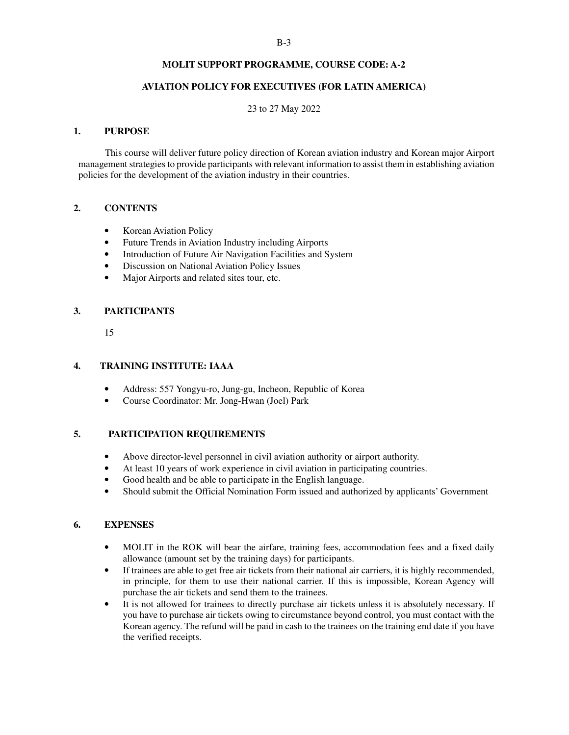#### **MOLIT SUPPORT PROGRAMME, COURSE CODE: A-2**

#### **AVIATION POLICY FOR EXECUTIVES (FOR LATIN AMERICA)**

23 to 27 May 2022

#### **1. PURPOSE**

 This course will deliver future policy direction of Korean aviation industry and Korean major Airport management strategies to provide participants with relevant information to assist them in establishing aviation policies for the development of the aviation industry in their countries.

#### **2. CONTENTS**

- **Korean Aviation Policy**
- Future Trends in Aviation Industry including Airports
- Introduction of Future Air Navigation Facilities and System
- Discussion on National Aviation Policy Issues
- Major Airports and related sites tour, etc.

#### **3. PARTICIPANTS**

15

#### **4. TRAINING INSTITUTE: IAAA**

- Address: 557 Yongyu-ro, Jung-gu, Incheon, Republic of Korea
- Course Coordinator: Mr. Jong-Hwan (Joel) Park

#### **5. PARTICIPATION REQUIREMENTS**

- Above director-level personnel in civil aviation authority or airport authority.
- At least 10 years of work experience in civil aviation in participating countries.
- Good health and be able to participate in the English language.
- Should submit the Official Nomination Form issued and authorized by applicants' Government

- MOLIT in the ROK will bear the airfare, training fees, accommodation fees and a fixed daily allowance (amount set by the training days) for participants.
- If trainees are able to get free air tickets from their national air carriers, it is highly recommended, in principle, for them to use their national carrier. If this is impossible, Korean Agency will purchase the air tickets and send them to the trainees.
- It is not allowed for trainees to directly purchase air tickets unless it is absolutely necessary. If you have to purchase air tickets owing to circumstance beyond control, you must contact with the Korean agency. The refund will be paid in cash to the trainees on the training end date if you have the verified receipts.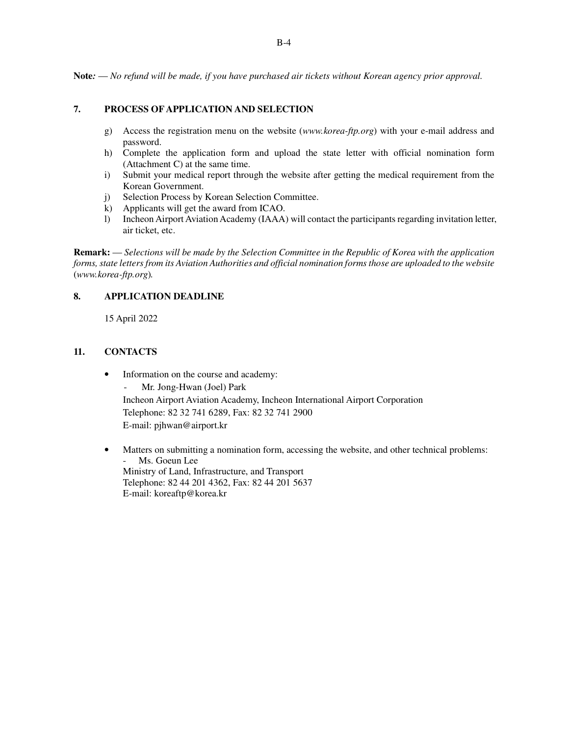**Note***:* — *No refund will be made, if you have purchased air tickets without Korean agency prior approval.* 

#### **7. PROCESS OF APPLICATION AND SELECTION**

- g) Access the registration menu on the website (*www.korea-ftp.org*) with your e-mail address and password.
- h) Complete the application form and upload the state letter with official nomination form (Attachment C) at the same time.
- i) Submit your medical report through the website after getting the medical requirement from the Korean Government.
- j) Selection Process by Korean Selection Committee.
- k) Applicants will get the award from ICAO.
- l) Incheon Airport Aviation Academy (IAAA) will contact the participants regarding invitation letter, air ticket, etc.

**Remark:** — *Selections will be made by the Selection Committee in the Republic of Korea with the application forms, state letters from its Aviation Authorities and official nomination forms those are uploaded to the website*  (*www.korea-ftp.org*)*.* 

#### **8. APPLICATION DEADLINE**

15 April 2022

#### **11. CONTACTS**

- Information on the course and academy:
	- Mr. Jong-Hwan (Joel) Park Incheon Airport Aviation Academy, Incheon International Airport Corporation Telephone: 82 32 741 6289, Fax: 82 32 741 2900 E-mail: pjhwan@airport.kr
- Matters on submitting a nomination form, accessing the website, and other technical problems: Ms. Goeun Lee Ministry of Land, Infrastructure, and Transport Telephone: 82 44 201 4362, Fax: 82 44 201 5637 E-mail: koreaftp@korea.kr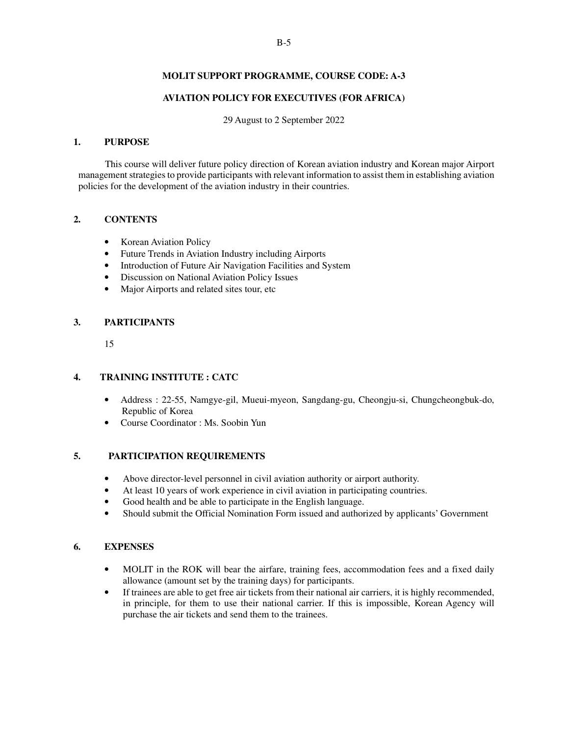#### **MOLIT SUPPORT PROGRAMME, COURSE CODE: A-3**

#### **AVIATION POLICY FOR EXECUTIVES (FOR AFRICA)**

29 August to 2 September 2022

#### **1. PURPOSE**

 This course will deliver future policy direction of Korean aviation industry and Korean major Airport management strategies to provide participants with relevant information to assist them in establishing aviation policies for the development of the aviation industry in their countries.

#### **2. CONTENTS**

- Korean Aviation Policy
- Future Trends in Aviation Industry including Airports
- Introduction of Future Air Navigation Facilities and System
- Discussion on National Aviation Policy Issues
- Major Airports and related sites tour, etc

#### **3. PARTICIPANTS**

15

#### **4. TRAINING INSTITUTE : CATC**

- Address : 22-55, Namgye-gil, Mueui-myeon, Sangdang-gu, Cheongju-si, Chungcheongbuk-do, Republic of Korea
- Course Coordinator : Ms. Soobin Yun

#### **5. PARTICIPATION REQUIREMENTS**

- Above director-level personnel in civil aviation authority or airport authority.
- At least 10 years of work experience in civil aviation in participating countries.
- Good health and be able to participate in the English language.
- Should submit the Official Nomination Form issued and authorized by applicants' Government

- MOLIT in the ROK will bear the airfare, training fees, accommodation fees and a fixed daily allowance (amount set by the training days) for participants.
- If trainees are able to get free air tickets from their national air carriers, it is highly recommended, in principle, for them to use their national carrier. If this is impossible, Korean Agency will purchase the air tickets and send them to the trainees.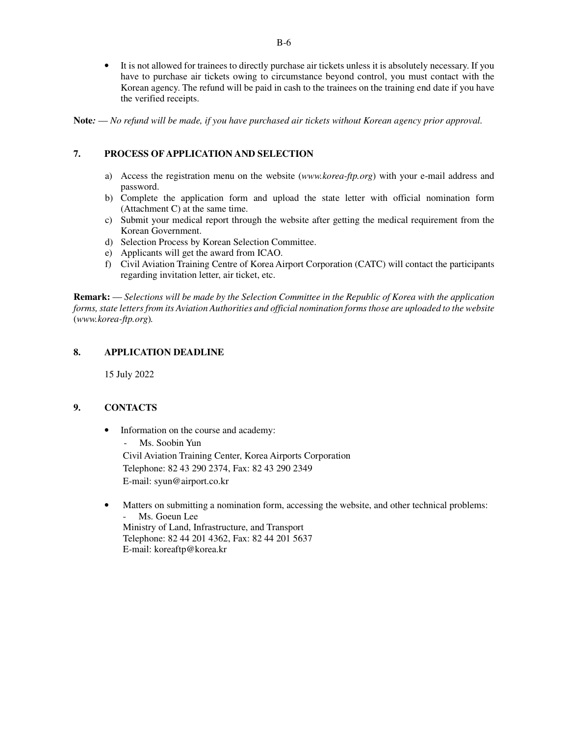• It is not allowed for trainees to directly purchase air tickets unless it is absolutely necessary. If you have to purchase air tickets owing to circumstance beyond control, you must contact with the Korean agency. The refund will be paid in cash to the trainees on the training end date if you have the verified receipts.

**Note***:* — *No refund will be made, if you have purchased air tickets without Korean agency prior approval.* 

#### **7. PROCESS OF APPLICATION AND SELECTION**

- a) Access the registration menu on the website (*www.korea-ftp.org*) with your e-mail address and password.
- b) Complete the application form and upload the state letter with official nomination form (Attachment C) at the same time.
- c) Submit your medical report through the website after getting the medical requirement from the Korean Government.
- d) Selection Process by Korean Selection Committee.
- e) Applicants will get the award from ICAO.
- f) Civil Aviation Training Centre of Korea Airport Corporation (CATC) will contact the participants regarding invitation letter, air ticket, etc.

**Remark:** — *Selections will be made by the Selection Committee in the Republic of Korea with the application forms, state letters from its Aviation Authorities and official nomination forms those are uploaded to the website*  (*www.korea-ftp.org*)*.* 

### **8. APPLICATION DEADLINE**

15 July 2022

#### **9. CONTACTS**

• Information on the course and academy:

Ms. Soobin Yun Civil Aviation Training Center, Korea Airports Corporation Telephone: 82 43 290 2374, Fax: 82 43 290 2349 E-mail: syun@airport.co.kr

• Matters on submitting a nomination form, accessing the website, and other technical problems: Ms. Goeun Lee Ministry of Land, Infrastructure, and Transport Telephone: 82 44 201 4362, Fax: 82 44 201 5637 E-mail: koreaftp@korea.kr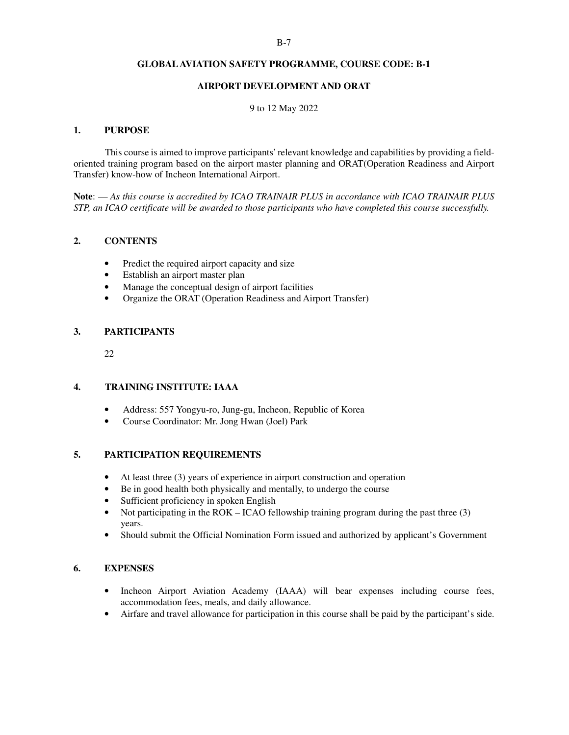#### **GLOBAL AVIATION SAFETY PROGRAMME, COURSE CODE: B-1**

#### **AIRPORT DEVELOPMENT AND ORAT**

#### 9 to 12 May 2022

#### **1. PURPOSE**

 This course is aimed to improve participants' relevant knowledge and capabilities by providing a fieldoriented training program based on the airport master planning and ORAT(Operation Readiness and Airport Transfer) know-how of Incheon International Airport.

**Note**: — *As this course is accredited by ICAO TRAINAIR PLUS in accordance with ICAO TRAINAIR PLUS STP, an ICAO certificate will be awarded to those participants who have completed this course successfully.* 

#### **2. CONTENTS**

- Predict the required airport capacity and size
- Establish an airport master plan
- Manage the conceptual design of airport facilities
- Organize the ORAT (Operation Readiness and Airport Transfer)

#### **3. PARTICIPANTS**

22

#### **4. TRAINING INSTITUTE: IAAA**

- Address: 557 Yongyu-ro, Jung-gu, Incheon, Republic of Korea
- Course Coordinator: Mr. Jong Hwan (Joel) Park

#### **5. PARTICIPATION REQUIREMENTS**

- At least three (3) years of experience in airport construction and operation
- Be in good health both physically and mentally, to undergo the course
- Sufficient proficiency in spoken English
- Not participating in the ROK ICAO fellowship training program during the past three (3) years.
- Should submit the Official Nomination Form issued and authorized by applicant's Government

- Incheon Airport Aviation Academy (IAAA) will bear expenses including course fees, accommodation fees, meals, and daily allowance.
- Airfare and travel allowance for participation in this course shall be paid by the participant's side.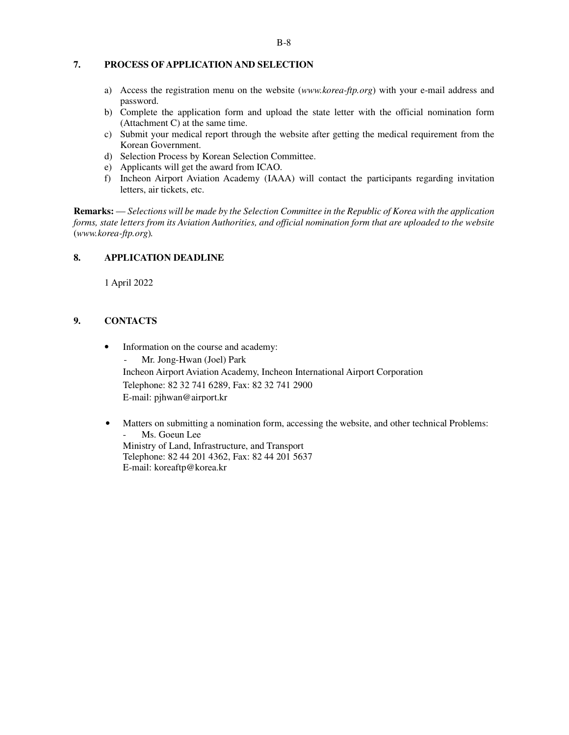#### **7. PROCESS OF APPLICATION AND SELECTION**

- a) Access the registration menu on the website (*www.korea-ftp.org*) with your e-mail address and password.
- b) Complete the application form and upload the state letter with the official nomination form (Attachment C) at the same time.
- c) Submit your medical report through the website after getting the medical requirement from the Korean Government.
- d) Selection Process by Korean Selection Committee.
- e) Applicants will get the award from ICAO.
- f) Incheon Airport Aviation Academy (IAAA) will contact the participants regarding invitation letters, air tickets, etc.

**Remarks:** — *Selections will be made by the Selection Committee in the Republic of Korea with the application forms, state letters from its Aviation Authorities, and official nomination form that are uploaded to the website*  (*www.korea-ftp.org*)*.* 

#### **8. APPLICATION DEADLINE**

1 April 2022

### **9. CONTACTS**

- Information on the course and academy:
	- Mr. Jong-Hwan (Joel) Park Incheon Airport Aviation Academy, Incheon International Airport Corporation Telephone: 82 32 741 6289, Fax: 82 32 741 2900 E-mail: pjhwan@airport.kr
- Matters on submitting a nomination form, accessing the website, and other technical Problems: Ms. Goeun Lee Ministry of Land, Infrastructure, and Transport Telephone: 82 44 201 4362, Fax: 82 44 201 5637 E-mail: koreaftp@korea.kr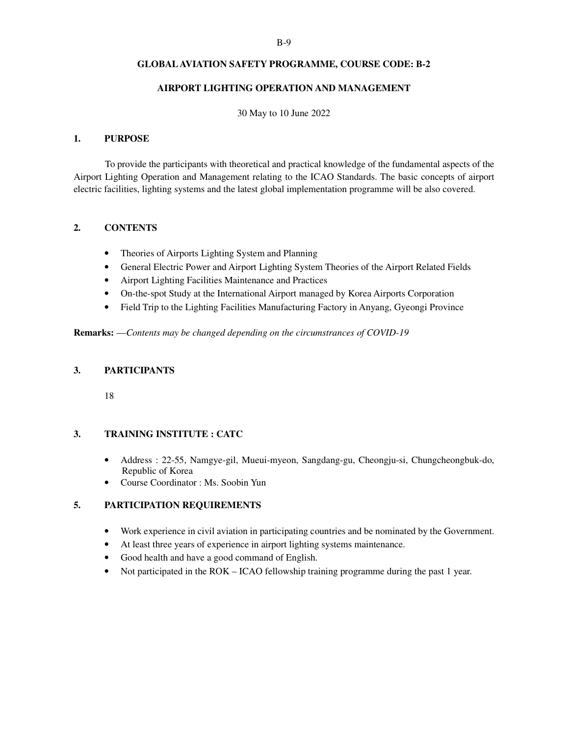#### **GLOBAL AVIATION SAFETY PROGRAMME, COURSE CODE: B-2**

### **AIRPORT LIGHTING OPERATION AND MANAGEMENT**

#### 30 May to 10 June 2022

#### **1. PURPOSE**

 To provide the participants with theoretical and practical knowledge of the fundamental aspects of the Airport Lighting Operation and Management relating to the ICAO Standards. The basic concepts of airport electric facilities, lighting systems and the latest global implementation programme will be also covered.

#### **2. CONTENTS**

- Theories of Airports Lighting System and Planning
- General Electric Power and Airport Lighting System Theories of the Airport Related Fields
- Airport Lighting Facilities Maintenance and Practices
- On-the-spot Study at the International Airport managed by Korea Airports Corporation
- Field Trip to the Lighting Facilities Manufacturing Factory in Anyang, Gyeongi Province

#### **Remarks:** —*Contents may be changed depending on the circumstrances of COVID-19*

#### **3. PARTICIPANTS**

18

### **3. TRAINING INSTITUTE : CATC**

- Address : 22-55, Namgye-gil, Mueui-myeon, Sangdang-gu, Cheongju-si, Chungcheongbuk-do, Republic of Korea
- Course Coordinator : Ms. Soobin Yun

### **5. PARTICIPATION REQUIREMENTS**

- Work experience in civil aviation in participating countries and be nominated by the Government.
- At least three years of experience in airport lighting systems maintenance.
- Good health and have a good command of English.
- Not participated in the ROK ICAO fellowship training programme during the past 1 year.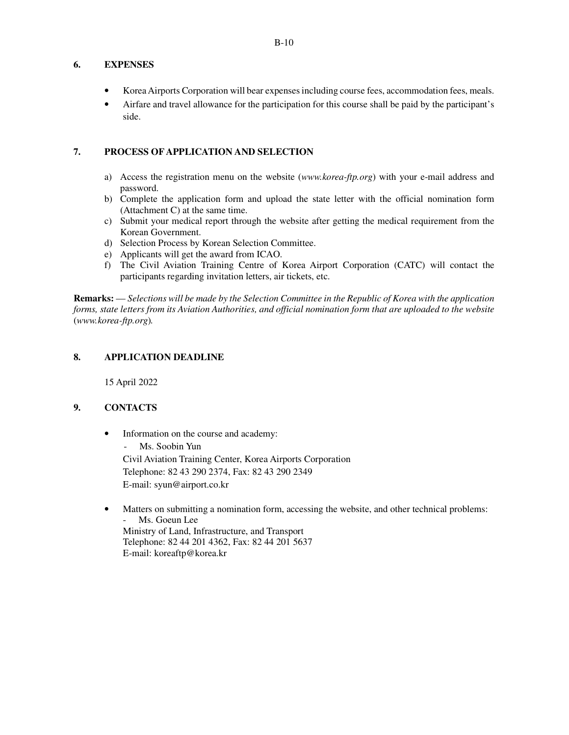#### **6. EXPENSES**

- Korea Airports Corporation will bear expenses including course fees, accommodation fees, meals.
- Airfare and travel allowance for the participation for this course shall be paid by the participant's side.

#### **7. PROCESS OF APPLICATION AND SELECTION**

- a) Access the registration menu on the website (*www.korea-ftp.org*) with your e-mail address and password.
- b) Complete the application form and upload the state letter with the official nomination form (Attachment C) at the same time.
- c) Submit your medical report through the website after getting the medical requirement from the Korean Government.
- d) Selection Process by Korean Selection Committee.
- e) Applicants will get the award from ICAO.
- f) The Civil Aviation Training Centre of Korea Airport Corporation (CATC) will contact the participants regarding invitation letters, air tickets, etc.

**Remarks:** — *Selections will be made by the Selection Committee in the Republic of Korea with the application forms, state letters from its Aviation Authorities, and official nomination form that are uploaded to the website*  (*www.korea-ftp.org*)*.* 

#### **8. APPLICATION DEADLINE**

15 April 2022

#### **9. CONTACTS**

• Information on the course and academy:

- Ms. Soobin Yun Civil Aviation Training Center, Korea Airports Corporation Telephone: 82 43 290 2374, Fax: 82 43 290 2349 E-mail: syun@airport.co.kr

• Matters on submitting a nomination form, accessing the website, and other technical problems: Ms. Goeun Lee Ministry of Land, Infrastructure, and Transport Telephone: 82 44 201 4362, Fax: 82 44 201 5637

E-mail: koreaftp@korea.kr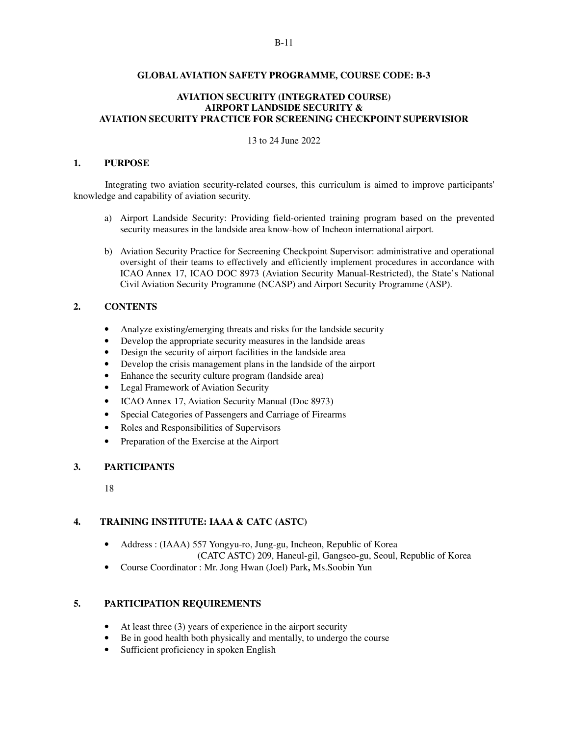#### B-11

#### **GLOBAL AVIATION SAFETY PROGRAMME, COURSE CODE: B-3**

#### **AVIATION SECURITY (INTEGRATED COURSE) AIRPORT LANDSIDE SECURITY & AVIATION SECURITY PRACTICE FOR SCREENING CHECKPOINT SUPERVISIOR**

13 to 24 June 2022

#### **1. PURPOSE**

 Integrating two aviation security-related courses, this curriculum is aimed to improve participants' knowledge and capability of aviation security.

- a) Airport Landside Security: Providing field-oriented training program based on the prevented security measures in the landside area know-how of Incheon international airport.
- b) Aviation Security Practice for Secreening Checkpoint Supervisor: administrative and operational oversight of their teams to effectively and efficiently implement procedures in accordance with ICAO Annex 17, ICAO DOC 8973 (Aviation Security Manual-Restricted), the State's National Civil Aviation Security Programme (NCASP) and Airport Security Programme (ASP).

#### **2. CONTENTS**

- Analyze existing/emerging threats and risks for the landside security
- Develop the appropriate security measures in the landside areas
- Design the security of airport facilities in the landside area
- Develop the crisis management plans in the landside of the airport
- Enhance the security culture program (landside area)
- Legal Framework of Aviation Security
- ICAO Annex 17, Aviation Security Manual (Doc 8973)
- Special Categories of Passengers and Carriage of Firearms
- Roles and Responsibilities of Supervisors
- Preparation of the Exercise at the Airport

#### **3. PARTICIPANTS**

18

#### **4. TRAINING INSTITUTE: IAAA & CATC (ASTC)**

- Address : (IAAA) 557 Yongyu-ro, Jung-gu, Incheon, Republic of Korea (CATC ASTC) 209, Haneul-gil, Gangseo-gu, Seoul, Republic of Korea
- Course Coordinator : Mr. Jong Hwan (Joel) Park**,** Ms.Soobin Yun

#### **5. PARTICIPATION REQUIREMENTS**

- At least three (3) years of experience in the airport security
- Be in good health both physically and mentally, to undergo the course
- Sufficient proficiency in spoken English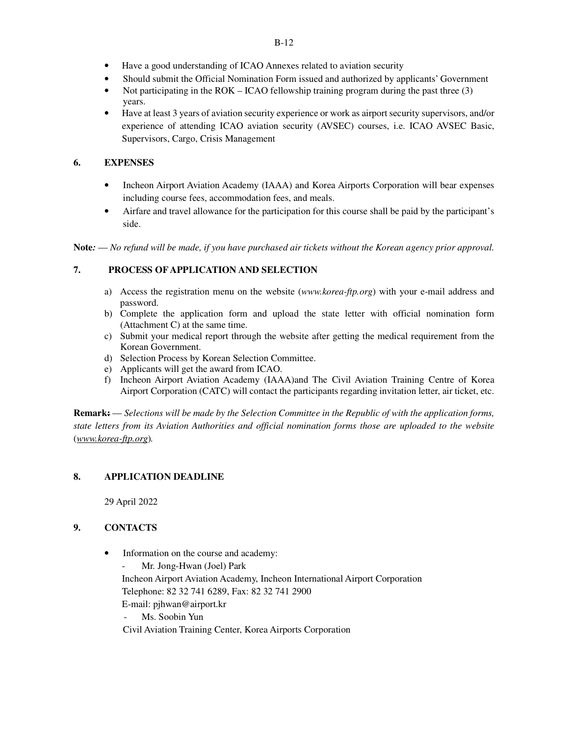- Have a good understanding of ICAO Annexes related to aviation security
- Should submit the Official Nomination Form issued and authorized by applicants' Government
- Not participating in the ROK ICAO fellowship training program during the past three (3) years.
- Have at least 3 years of aviation security experience or work as airport security supervisors, and/or experience of attending ICAO aviation security (AVSEC) courses, i.e. ICAO AVSEC Basic, Supervisors, Cargo, Crisis Management

#### **6. EXPENSES**

- Incheon Airport Aviation Academy (IAAA) and Korea Airports Corporation will bear expenses including course fees, accommodation fees, and meals.
- Airfare and travel allowance for the participation for this course shall be paid by the participant's side.

**Note***:* — *No refund will be made, if you have purchased air tickets without the Korean agency prior approval.* 

#### **7. PROCESS OF APPLICATION AND SELECTION**

- a) Access the registration menu on the website (*www.korea-ftp.org*) with your e-mail address and password.
- b) Complete the application form and upload the state letter with official nomination form (Attachment C) at the same time.
- c) Submit your medical report through the website after getting the medical requirement from the Korean Government.
- d) Selection Process by Korean Selection Committee.
- e) Applicants will get the award from ICAO.
- f) Incheon Airport Aviation Academy (IAAA)and The Civil Aviation Training Centre of Korea Airport Corporation (CATC) will contact the participants regarding invitation letter, air ticket, etc.

**Remark:** — *Selections will be made by the Selection Committee in the Republic of with the application forms, state letters from its Aviation Authorities and official nomination forms those are uploaded to the website*  (*www.korea-ftp.org*)*.* 

#### **8. APPLICATION DEADLINE**

29 April 2022

#### **9. CONTACTS**

• Information on the course and academy:

- Mr. Jong-Hwan (Joel) Park Incheon Airport Aviation Academy, Incheon International Airport Corporation Telephone: 82 32 741 6289, Fax: 82 32 741 2900 E-mail: pjhwan@airport.kr

Ms. Soobin Yun

Civil Aviation Training Center, Korea Airports Corporation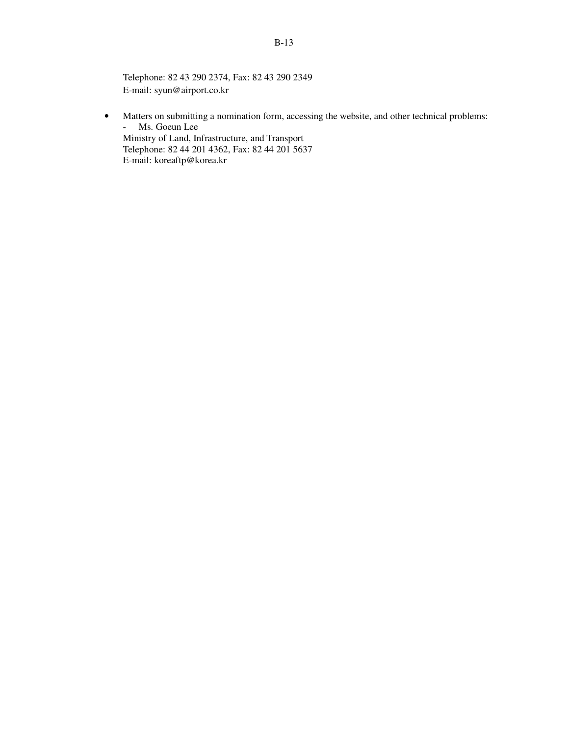Telephone: 82 43 290 2374, Fax: 82 43 290 2349 E-mail: syun@airport.co.kr

• Matters on submitting a nomination form, accessing the website, and other technical problems: - Ms. Goeun Lee Ministry of Land, Infrastructure, and Transport Telephone: 82 44 201 4362, Fax: 82 44 201 5637 E-mail: koreaftp@korea.kr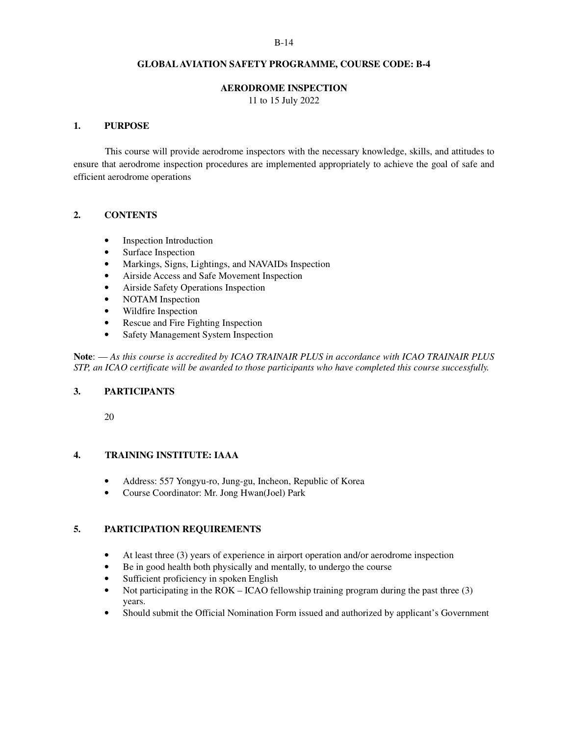#### B-14

#### **GLOBAL AVIATION SAFETY PROGRAMME, COURSE CODE: B-4**

#### **AERODROME INSPECTION**

11 to 15 July 2022

#### **1. PURPOSE**

 This course will provide aerodrome inspectors with the necessary knowledge, skills, and attitudes to ensure that aerodrome inspection procedures are implemented appropriately to achieve the goal of safe and efficient aerodrome operations

#### **2. CONTENTS**

- Inspection Introduction
- Surface Inspection
- Markings, Signs, Lightings, and NAVAIDs Inspection
- Airside Access and Safe Movement Inspection
- Airside Safety Operations Inspection
- NOTAM Inspection
- Wildfire Inspection
- Rescue and Fire Fighting Inspection
- Safety Management System Inspection

**Note**: — *As this course is accredited by ICAO TRAINAIR PLUS in accordance with ICAO TRAINAIR PLUS STP, an ICAO certificate will be awarded to those participants who have completed this course successfully.* 

#### **3. PARTICIPANTS**

20

#### **4. TRAINING INSTITUTE: IAAA**

- Address: 557 Yongyu-ro, Jung-gu, Incheon, Republic of Korea
- Course Coordinator: Mr. Jong Hwan(Joel) Park

#### **5. PARTICIPATION REQUIREMENTS**

- At least three (3) years of experience in airport operation and/or aerodrome inspection
- Be in good health both physically and mentally, to undergo the course
- Sufficient proficiency in spoken English
- Not participating in the ROK ICAO fellowship training program during the past three (3) years.
- Should submit the Official Nomination Form issued and authorized by applicant's Government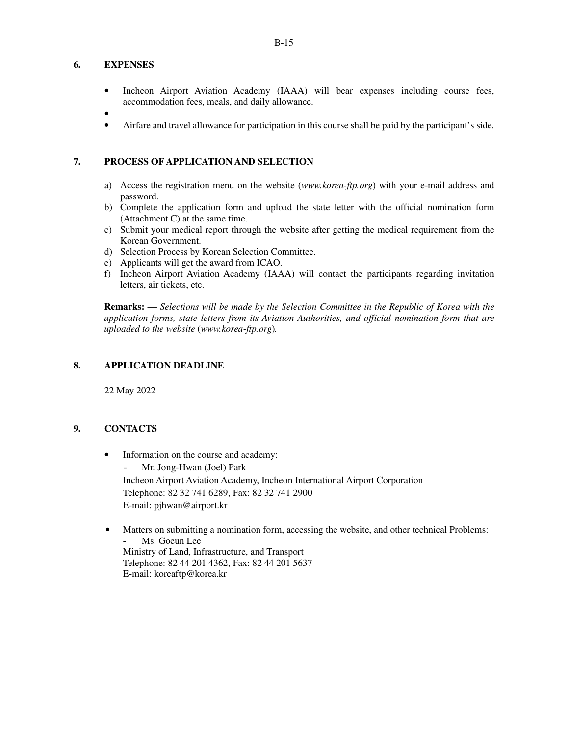#### **6. EXPENSES**

- Incheon Airport Aviation Academy (IAAA) will bear expenses including course fees, accommodation fees, meals, and daily allowance.
- - Airfare and travel allowance for participation in this course shall be paid by the participant's side.

#### **7. PROCESS OF APPLICATION AND SELECTION**

- a) Access the registration menu on the website (*www.korea-ftp.org*) with your e-mail address and password.
- b) Complete the application form and upload the state letter with the official nomination form (Attachment C) at the same time.
- c) Submit your medical report through the website after getting the medical requirement from the Korean Government.
- d) Selection Process by Korean Selection Committee.
- e) Applicants will get the award from ICAO.
- f) Incheon Airport Aviation Academy (IAAA) will contact the participants regarding invitation letters, air tickets, etc.

**Remarks:** — *Selections will be made by the Selection Committee in the Republic of Korea with the application forms, state letters from its Aviation Authorities, and official nomination form that are uploaded to the website* (*www.korea-ftp.org*)*.* 

#### **8. APPLICATION DEADLINE**

22 May 2022

#### **9. CONTACTS**

- Information on the course and academy:
	- Mr. Jong-Hwan (Joel) Park Incheon Airport Aviation Academy, Incheon International Airport Corporation Telephone: 82 32 741 6289, Fax: 82 32 741 2900 E-mail: pjhwan@airport.kr
- Matters on submitting a nomination form, accessing the website, and other technical Problems: Ms. Goeun Lee Ministry of Land, Infrastructure, and Transport Telephone: 82 44 201 4362, Fax: 82 44 201 5637 E-mail: koreaftp@korea.kr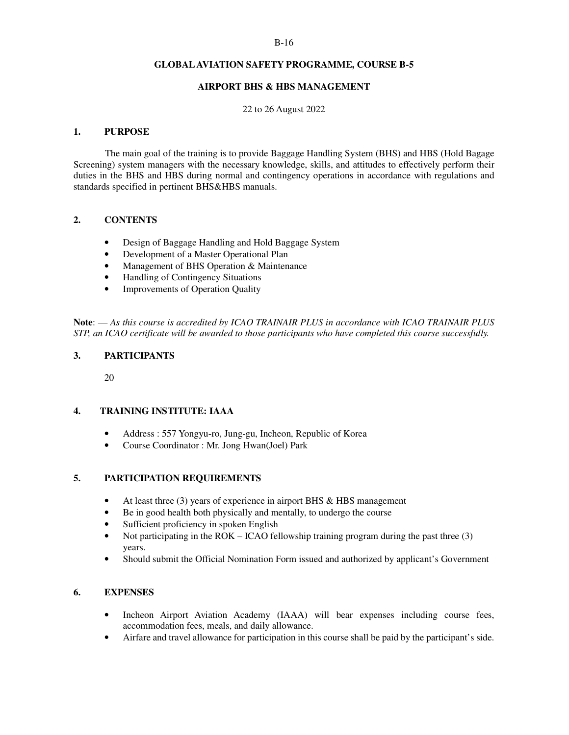#### B-16

#### **GLOBAL AVIATION SAFETY PROGRAMME, COURSE B-5**

#### **AIRPORT BHS & HBS MANAGEMENT**

#### 22 to 26 August 2022

#### **1. PURPOSE**

 The main goal of the training is to provide Baggage Handling System (BHS) and HBS (Hold Bagage Screening) system managers with the necessary knowledge, skills, and attitudes to effectively perform their duties in the BHS and HBS during normal and contingency operations in accordance with regulations and standards specified in pertinent BHS&HBS manuals.

#### **2. CONTENTS**

- Design of Baggage Handling and Hold Baggage System
- Development of a Master Operational Plan
- Management of BHS Operation & Maintenance
- Handling of Contingency Situations
- Improvements of Operation Quality

**Note**: — *As this course is accredited by ICAO TRAINAIR PLUS in accordance with ICAO TRAINAIR PLUS STP, an ICAO certificate will be awarded to those participants who have completed this course successfully.* 

#### **3. PARTICIPANTS**

20

#### **4. TRAINING INSTITUTE: IAAA**

- Address : 557 Yongyu-ro, Jung-gu, Incheon, Republic of Korea
- Course Coordinator : Mr. Jong Hwan(Joel) Park

#### **5. PARTICIPATION REQUIREMENTS**

- At least three (3) years of experience in airport BHS & HBS management
- Be in good health both physically and mentally, to undergo the course
- Sufficient proficiency in spoken English
- Not participating in the ROK ICAO fellowship training program during the past three (3) years.
- Should submit the Official Nomination Form issued and authorized by applicant's Government

- Incheon Airport Aviation Academy (IAAA) will bear expenses including course fees, accommodation fees, meals, and daily allowance.
- Airfare and travel allowance for participation in this course shall be paid by the participant's side.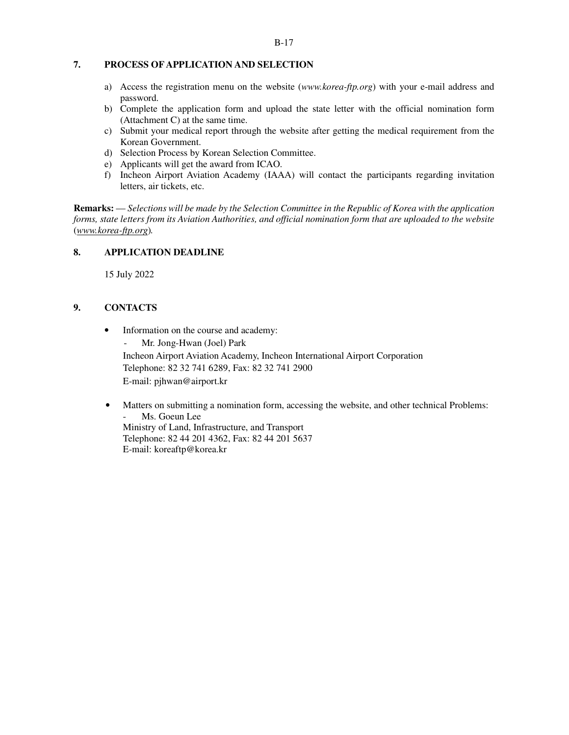# **7. PROCESS OF APPLICATION AND SELECTION**

- a) Access the registration menu on the website (*www.korea-ftp.org*) with your e-mail address and password.
- b) Complete the application form and upload the state letter with the official nomination form (Attachment C) at the same time.
- c) Submit your medical report through the website after getting the medical requirement from the Korean Government.
- d) Selection Process by Korean Selection Committee.
- e) Applicants will get the award from ICAO.
- f) Incheon Airport Aviation Academy (IAAA) will contact the participants regarding invitation letters, air tickets, etc.

**Remarks:** — *Selections will be made by the Selection Committee in the Republic of Korea with the application forms, state letters from its Aviation Authorities, and official nomination form that are uploaded to the website*  (*www.korea-ftp.org*)*.* 

# **8. APPLICATION DEADLINE**

15 July 2022

# **9. CONTACTS**

- Information on the course and academy:
	- Mr. Jong-Hwan (Joel) Park Incheon Airport Aviation Academy, Incheon International Airport Corporation Telephone: 82 32 741 6289, Fax: 82 32 741 2900 E-mail: pjhwan@airport.kr
- Matters on submitting a nomination form, accessing the website, and other technical Problems: Ms. Goeun Lee Ministry of Land, Infrastructure, and Transport

Telephone: 82 44 201 4362, Fax: 82 44 201 5637 E-mail: koreaftp@korea.kr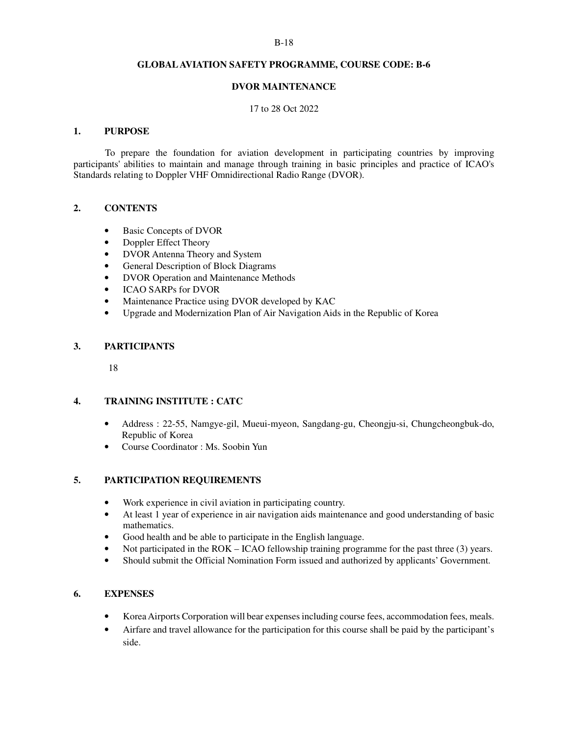#### **GLOBAL AVIATION SAFETY PROGRAMME, COURSE CODE: B-6**

#### **DVOR MAINTENANCE**

#### 17 to 28 Oct 2022

#### **1. PURPOSE**

 To prepare the foundation for aviation development in participating countries by improving participants' abilities to maintain and manage through training in basic principles and practice of ICAO's Standards relating to Doppler VHF Omnidirectional Radio Range (DVOR).

#### **2. CONTENTS**

- Basic Concepts of DVOR
- Doppler Effect Theory
- DVOR Antenna Theory and System
- General Description of Block Diagrams
- DVOR Operation and Maintenance Methods
- ICAO SARPs for DVOR
- Maintenance Practice using DVOR developed by KAC
- Upgrade and Modernization Plan of Air Navigation Aids in the Republic of Korea

#### **3. PARTICIPANTS**

18

#### **4. TRAINING INSTITUTE : CATC**

- Address : 22-55, Namgye-gil, Mueui-myeon, Sangdang-gu, Cheongju-si, Chungcheongbuk-do, Republic of Korea
- Course Coordinator : Ms. Soobin Yun

#### **5. PARTICIPATION REQUIREMENTS**

- Work experience in civil aviation in participating country.
- At least 1 year of experience in air navigation aids maintenance and good understanding of basic mathematics.
- Good health and be able to participate in the English language.
- Not participated in the ROK ICAO fellowship training programme for the past three (3) years.
- Should submit the Official Nomination Form issued and authorized by applicants' Government.

- Korea Airports Corporation will bear expenses including course fees, accommodation fees, meals.
- Airfare and travel allowance for the participation for this course shall be paid by the participant's side.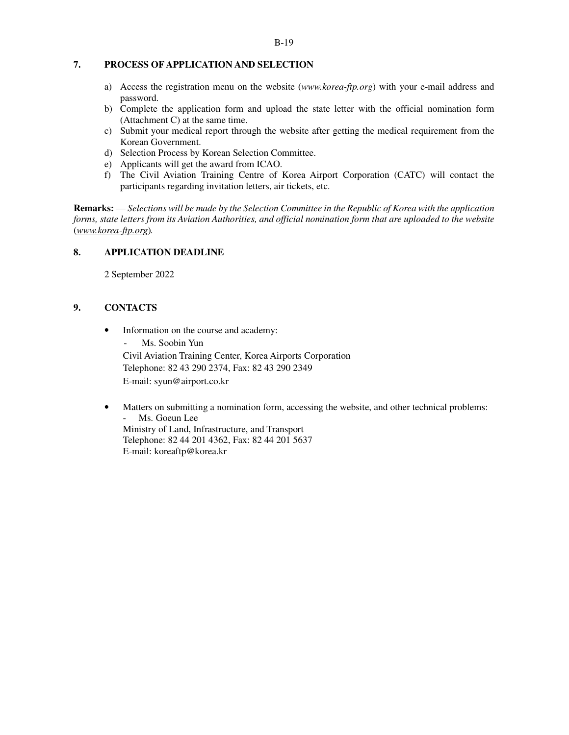# **7. PROCESS OF APPLICATION AND SELECTION**

- a) Access the registration menu on the website (*www.korea-ftp.org*) with your e-mail address and password.
- b) Complete the application form and upload the state letter with the official nomination form (Attachment C) at the same time.
- c) Submit your medical report through the website after getting the medical requirement from the Korean Government.
- d) Selection Process by Korean Selection Committee.
- e) Applicants will get the award from ICAO.
- f) The Civil Aviation Training Centre of Korea Airport Corporation (CATC) will contact the participants regarding invitation letters, air tickets, etc.

**Remarks:** — *Selections will be made by the Selection Committee in the Republic of Korea with the application forms, state letters from its Aviation Authorities, and official nomination form that are uploaded to the website*  (*www.korea-ftp.org*)*.* 

# **8. APPLICATION DEADLINE**

2 September 2022

# **9. CONTACTS**

• Information on the course and academy:

Ms. Soobin Yun Civil Aviation Training Center, Korea Airports Corporation Telephone: 82 43 290 2374, Fax: 82 43 290 2349 E-mail: syun@airport.co.kr

Matters on submitting a nomination form, accessing the website, and other technical problems: - Ms. Goeun Lee Ministry of Land, Infrastructure, and Transport Telephone: 82 44 201 4362, Fax: 82 44 201 5637 E-mail: koreaftp@korea.kr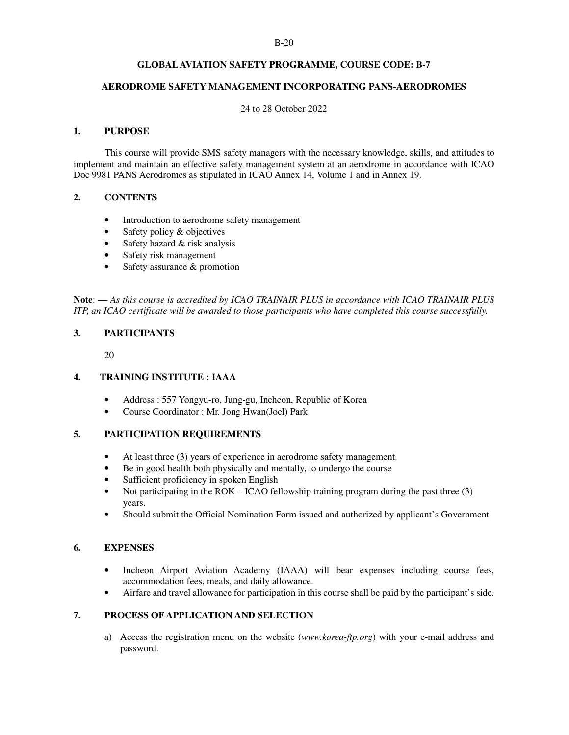#### B-20

#### **GLOBAL AVIATION SAFETY PROGRAMME, COURSE CODE: B-7**

#### **AERODROME SAFETY MANAGEMENT INCORPORATING PANS-AERODROMES**

24 to 28 October 2022

#### **1. PURPOSE**

 This course will provide SMS safety managers with the necessary knowledge, skills, and attitudes to implement and maintain an effective safety management system at an aerodrome in accordance with ICAO Doc 9981 PANS Aerodromes as stipulated in ICAO Annex 14, Volume 1 and in Annex 19.

#### **2. CONTENTS**

- Introduction to aerodrome safety management
- Safety policy & objectives
- Safety hazard & risk analysis
- Safety risk management
- Safety assurance & promotion

**Note**: — *As this course is accredited by ICAO TRAINAIR PLUS in accordance with ICAO TRAINAIR PLUS ITP, an ICAO certificate will be awarded to those participants who have completed this course successfully.* 

#### **3. PARTICIPANTS**

20

#### **4. TRAINING INSTITUTE : IAAA**

- Address : 557 Yongyu-ro, Jung-gu, Incheon, Republic of Korea
- Course Coordinator : Mr. Jong Hwan(Joel) Park

#### **5. PARTICIPATION REQUIREMENTS**

- At least three (3) years of experience in aerodrome safety management.
- Be in good health both physically and mentally, to undergo the course
- Sufficient proficiency in spoken English
- Not participating in the ROK ICAO fellowship training program during the past three (3) years.
- Should submit the Official Nomination Form issued and authorized by applicant's Government

#### **6. EXPENSES**

- Incheon Airport Aviation Academy (IAAA) will bear expenses including course fees, accommodation fees, meals, and daily allowance.
- Airfare and travel allowance for participation in this course shall be paid by the participant's side.

#### **7. PROCESS OF APPLICATION AND SELECTION**

a) Access the registration menu on the website (*www.korea-ftp.org*) with your e-mail address and password.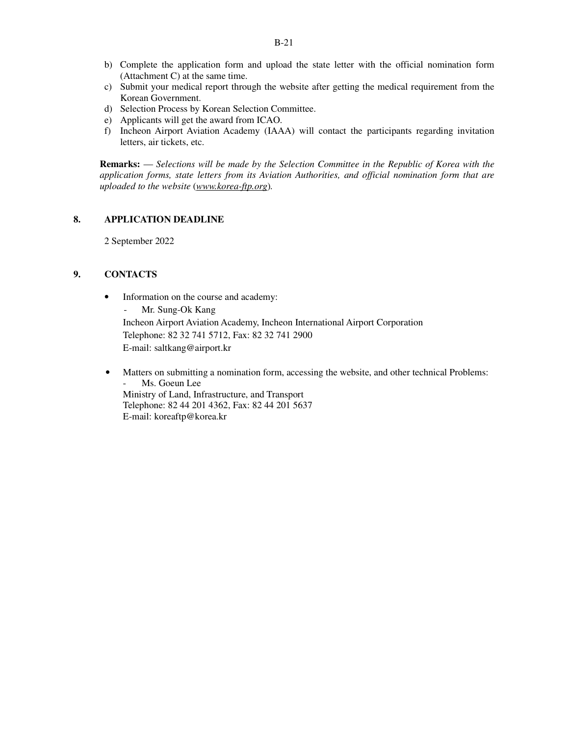- b) Complete the application form and upload the state letter with the official nomination form (Attachment C) at the same time.
- c) Submit your medical report through the website after getting the medical requirement from the Korean Government.
- d) Selection Process by Korean Selection Committee.
- e) Applicants will get the award from ICAO.
- f) Incheon Airport Aviation Academy (IAAA) will contact the participants regarding invitation letters, air tickets, etc.

**Remarks:** — *Selections will be made by the Selection Committee in the Republic of Korea with the application forms, state letters from its Aviation Authorities, and official nomination form that are uploaded to the website* (*www.korea-ftp.org*)*.* 

#### **8. APPLICATION DEADLINE**

2 September 2022

#### **9. CONTACTS**

• Information on the course and academy:

- Mr. Sung-Ok Kang Incheon Airport Aviation Academy, Incheon International Airport Corporation Telephone: 82 32 741 5712, Fax: 82 32 741 2900 E-mail: saltkang@airport.kr

• Matters on submitting a nomination form, accessing the website, and other technical Problems: Ms. Goeun Lee

Ministry of Land, Infrastructure, and Transport Telephone: 82 44 201 4362, Fax: 82 44 201 5637 E-mail: koreaftp@korea.kr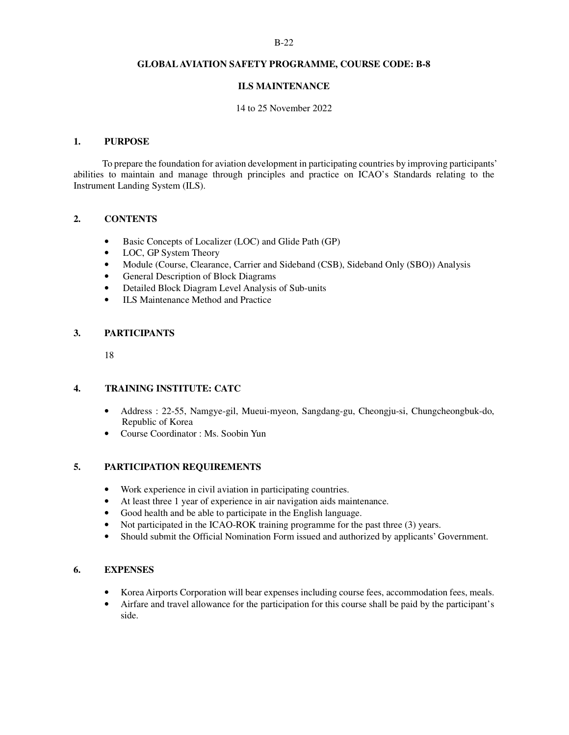#### B-22

#### **GLOBAL AVIATION SAFETY PROGRAMME, COURSE CODE: B-8**

#### **ILS MAINTENANCE**

#### 14 to 25 November 2022

#### **1. PURPOSE**

To prepare the foundation for aviation development in participating countries by improving participants' abilities to maintain and manage through principles and practice on ICAO's Standards relating to the Instrument Landing System (ILS).

#### **2. CONTENTS**

- Basic Concepts of Localizer (LOC) and Glide Path (GP)
- LOC, GP System Theory
- Module (Course, Clearance, Carrier and Sideband (CSB), Sideband Only (SBO)) Analysis
- General Description of Block Diagrams
- Detailed Block Diagram Level Analysis of Sub-units
- ILS Maintenance Method and Practice

#### **3. PARTICIPANTS**

18

#### **4. TRAINING INSTITUTE: CATC**

- Address : 22-55, Namgye-gil, Mueui-myeon, Sangdang-gu, Cheongju-si, Chungcheongbuk-do, Republic of Korea
- Course Coordinator : Ms. Soobin Yun

#### **5. PARTICIPATION REQUIREMENTS**

- Work experience in civil aviation in participating countries.
- At least three 1 year of experience in air navigation aids maintenance.
- Good health and be able to participate in the English language.
- Not participated in the ICAO-ROK training programme for the past three (3) years.
- Should submit the Official Nomination Form issued and authorized by applicants' Government.

- Korea Airports Corporation will bear expenses including course fees, accommodation fees, meals.
- Airfare and travel allowance for the participation for this course shall be paid by the participant's side.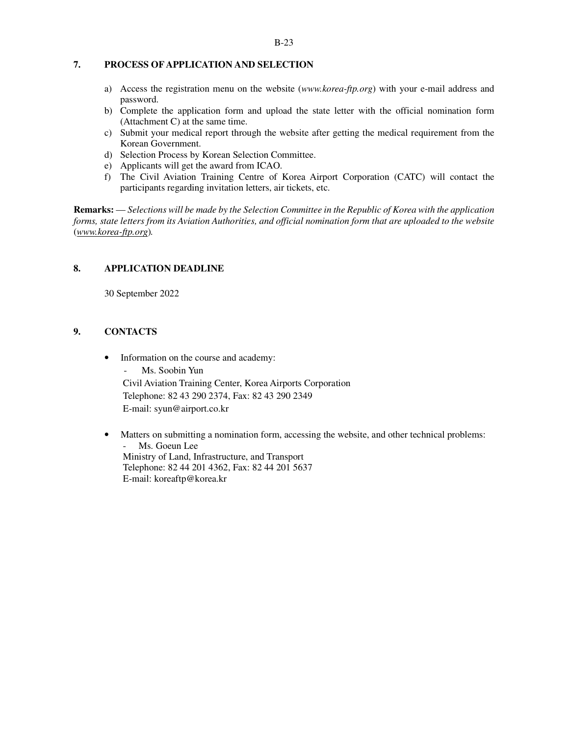# **7. PROCESS OF APPLICATION AND SELECTION**

- a) Access the registration menu on the website (*www.korea-ftp.org*) with your e-mail address and password.
- b) Complete the application form and upload the state letter with the official nomination form (Attachment C) at the same time.
- c) Submit your medical report through the website after getting the medical requirement from the Korean Government.
- d) Selection Process by Korean Selection Committee.
- e) Applicants will get the award from ICAO.
- f) The Civil Aviation Training Centre of Korea Airport Corporation (CATC) will contact the participants regarding invitation letters, air tickets, etc.

**Remarks:** — *Selections will be made by the Selection Committee in the Republic of Korea with the application forms, state letters from its Aviation Authorities, and official nomination form that are uploaded to the website*  (*www.korea-ftp.org*)*.* 

# **8. APPLICATION DEADLINE**

30 September 2022

# **9. CONTACTS**

- Information on the course and academy:
	- Ms. Soobin Yun Civil Aviation Training Center, Korea Airports Corporation Telephone: 82 43 290 2374, Fax: 82 43 290 2349 E-mail: syun@airport.co.kr
- Matters on submitting a nomination form, accessing the website, and other technical problems: Ms. Goeun Lee Ministry of Land, Infrastructure, and Transport Telephone: 82 44 201 4362, Fax: 82 44 201 5637 E-mail: koreaftp@korea.kr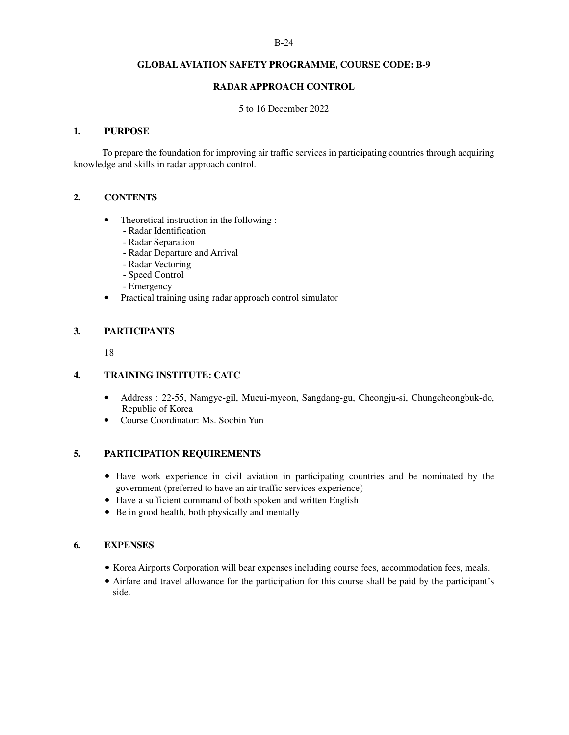#### **GLOBAL AVIATION SAFETY PROGRAMME, COURSE CODE: B-9**

#### **RADAR APPROACH CONTROL**

#### 5 to 16 December 2022

#### **1. PURPOSE**

To prepare the foundation for improving air traffic services in participating countries through acquiring knowledge and skills in radar approach control.

#### **2. CONTENTS**

- Theoretical instruction in the following :
	- Radar Identification
	- Radar Separation
	- Radar Departure and Arrival
	- Radar Vectoring
	- Speed Control
	- Emergency
- Practical training using radar approach control simulator

#### **3. PARTICIPANTS**

18

#### **4. TRAINING INSTITUTE: CATC**

- Address : 22-55, Namgye-gil, Mueui-myeon, Sangdang-gu, Cheongju-si, Chungcheongbuk-do, Republic of Korea
- Course Coordinator: Ms. Soobin Yun

#### **5. PARTICIPATION REQUIREMENTS**

- Have work experience in civil aviation in participating countries and be nominated by the government (preferred to have an air traffic services experience)
- Have a sufficient command of both spoken and written English
- Be in good health, both physically and mentally

- Korea Airports Corporation will bear expenses including course fees, accommodation fees, meals.
- Airfare and travel allowance for the participation for this course shall be paid by the participant's side.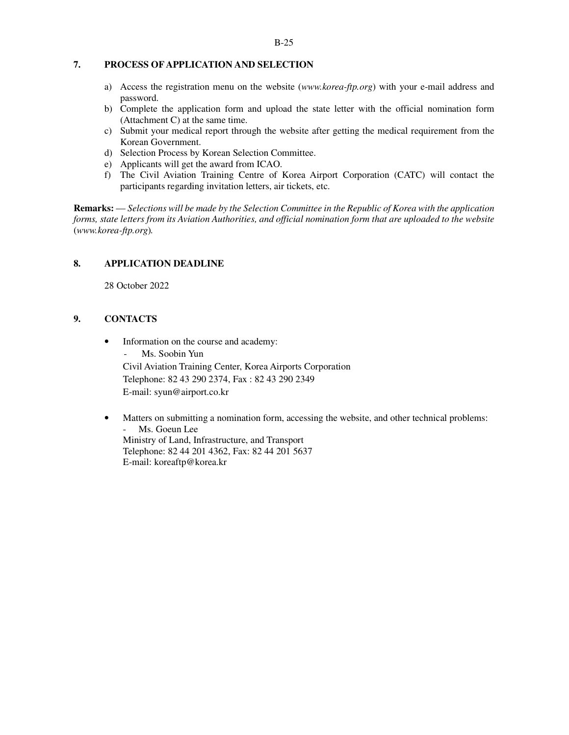# **7. PROCESS OF APPLICATION AND SELECTION**

- a) Access the registration menu on the website (*www.korea-ftp.org*) with your e-mail address and password.
- b) Complete the application form and upload the state letter with the official nomination form (Attachment C) at the same time.
- c) Submit your medical report through the website after getting the medical requirement from the Korean Government.
- d) Selection Process by Korean Selection Committee.
- e) Applicants will get the award from ICAO.
- f) The Civil Aviation Training Centre of Korea Airport Corporation (CATC) will contact the participants regarding invitation letters, air tickets, etc.

**Remarks:** — *Selections will be made by the Selection Committee in the Republic of Korea with the application forms, state letters from its Aviation Authorities, and official nomination form that are uploaded to the website*  (*www.korea-ftp.org*)*.* 

# **8. APPLICATION DEADLINE**

28 October 2022

# **9. CONTACTS**

- Information on the course and academy:
	- Ms. Soobin Yun

Civil Aviation Training Center, Korea Airports Corporation Telephone: 82 43 290 2374, Fax : 82 43 290 2349 E-mail: syun@airport.co.kr

• Matters on submitting a nomination form, accessing the website, and other technical problems: Ms. Goeun Lee Ministry of Land, Infrastructure, and Transport Telephone: 82 44 201 4362, Fax: 82 44 201 5637 E-mail: koreaftp@korea.kr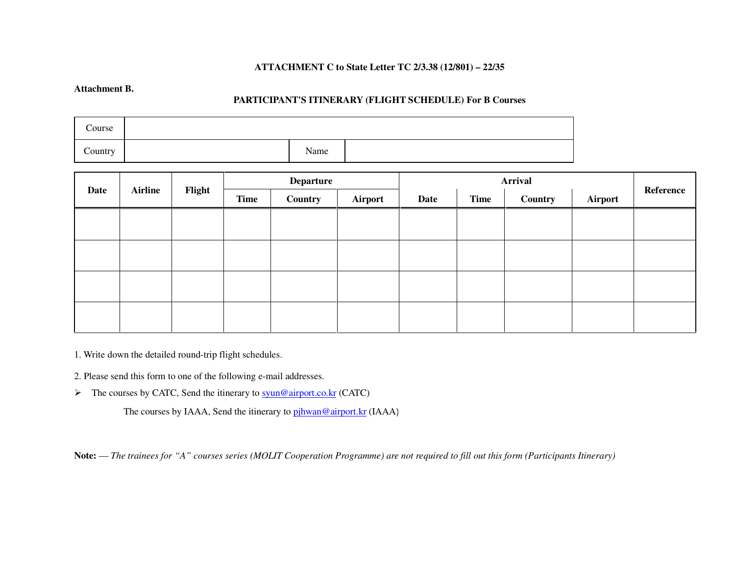#### **ATTACHMENT C to State Letter TC 2/3.38 (12/801) – 22/35**

# **Attachment B. PARTICIPANT'S ITINERARY (FLIGHT SCHEDULE) For B Courses**

| Course  |      |  |
|---------|------|--|
| Country | Name |  |

|             |                |                                                         |             | <b>Departure</b>                                                                                  |         |      | <b>Arrival</b> |         |         |           |
|-------------|----------------|---------------------------------------------------------|-------------|---------------------------------------------------------------------------------------------------|---------|------|----------------|---------|---------|-----------|
| <b>Date</b> | <b>Airline</b> | Flight                                                  | <b>Time</b> | Country                                                                                           | Airport | Date | <b>Time</b>    | Country | Airport | Reference |
|             |                |                                                         |             |                                                                                                   |         |      |                |         |         |           |
|             |                |                                                         |             |                                                                                                   |         |      |                |         |         |           |
|             |                |                                                         |             |                                                                                                   |         |      |                |         |         |           |
|             |                |                                                         |             |                                                                                                   |         |      |                |         |         |           |
|             |                |                                                         |             |                                                                                                   |         |      |                |         |         |           |
|             |                |                                                         |             |                                                                                                   |         |      |                |         |         |           |
|             |                |                                                         |             |                                                                                                   |         |      |                |         |         |           |
|             |                | 1. Write down the detailed round-trip flight schedules. |             | 2. Please send this form to one of the following e-mail addresses.                                |         |      |                |         |         |           |
|             |                |                                                         |             | The courses by CATC, Send the itinerary to $\frac{syun@airport.co.kr}{syun@airport.co.kr}$ (CATC) |         |      |                |         |         |           |
|             |                |                                                         |             | The courses by IAAA, Send the itinerary to pihwan@airport.kr (IAAA)                               |         |      |                |         |         |           |